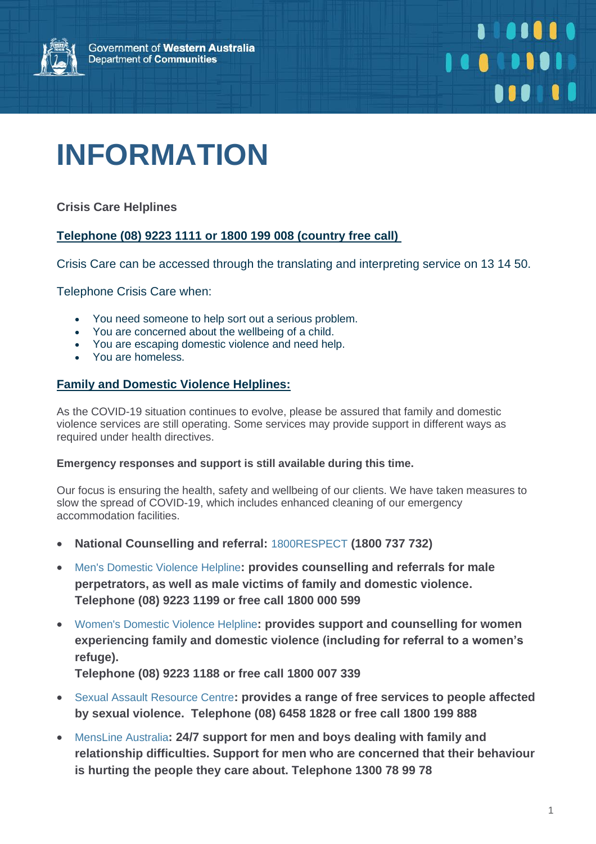

# **INFORMATION**

**Crisis Care Helplines**

### **Telephone (08) 9223 1111 or 1800 199 008 (country free call)**

Crisis Care can be accessed through the translating and interpreting service on 13 14 50.

Telephone Crisis Care when:

- You need someone to help sort out a serious problem.
- You are concerned about the wellbeing of a child.
- You are escaping domestic violence and need help.
- You are homeless.

### **Family and Domestic Violence Helplines:**

As the COVID-19 situation continues to evolve, please be assured that family and domestic violence services are still operating. Some services may provide support in different ways as required under health directives.

#### **Emergency responses and support is still available during this time.**

Our focus is ensuring the health, safety and wellbeing of our clients. We have taken measures to slow the spread of COVID-19, which includes enhanced cleaning of our emergency accommodation facilities.

- **National Counselling and referral:** [1800RESPECT](https://www.1800respect.org.au/) **(1800 737 732)**
- [Men's Domestic Violence Helpline](https://www.dcp.wa.gov.au/CrisisAndEmergency/Pages/Men%27s-Domestic-Violence-Helpline.aspx)**: provides counselling and referrals for male perpetrators, as well as male victims of family and domestic violence. Telephone (08) 9223 1199 or free call 1800 000 599**
- [Women's Domestic Violence Helpline](https://www.dcp.wa.gov.au/CrisisAndEmergency/Pages/Women%27s-Domestic-Violence-Helpline.aspx)**: provides support and counselling for women experiencing family and domestic violence (including for referral to a women's refuge).**

**Telephone (08) 9223 1188 or free call 1800 007 339**

- [Sexual Assault Resource Centre](http://www.kemh.health.wa.gov.au/services/sarc/)**: provides a range of free services to people affected by sexual violence. Telephone (08) 6458 1828 or free call 1800 199 888**
- [MensLine Australia](https://mensline.org.au/contact-us/)**: 24/7 support for men and boys dealing with family and relationship difficulties. Support for men who are concerned that their behaviour is hurting the people they care about. Telephone 1300 78 99 78**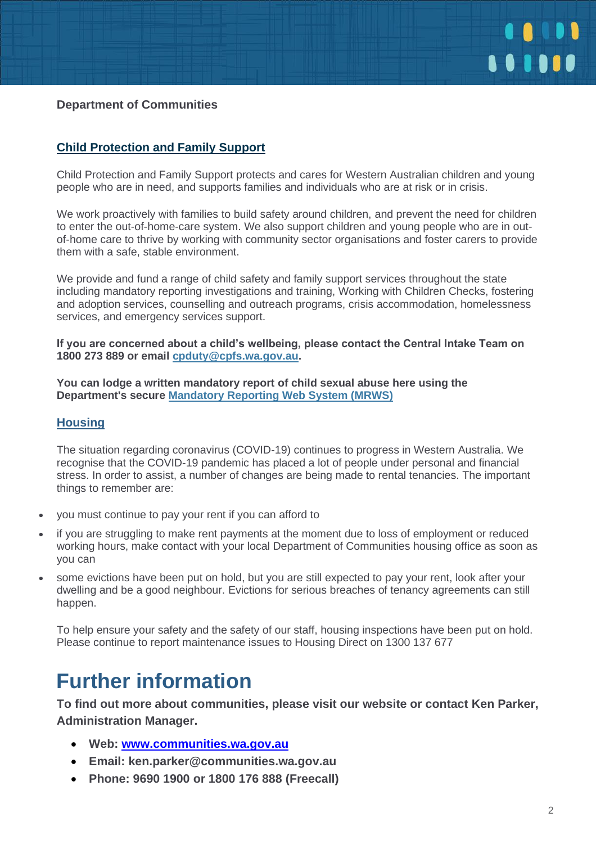

### **Department of Communities**

### **Child Protection and Family Support**

Child Protection and Family Support protects and cares for Western Australian children and young people who are in need, and supports families and individuals who are at risk or in crisis.

We work proactively with families to build safety around children, and prevent the need for children to enter the out-of-home-care system. We also support children and young people who are in outof-home care to thrive by working with community sector organisations and foster carers to provide them with a safe, stable environment.

We provide and fund a range of child safety and family support services throughout the state including mandatory reporting investigations and training, Working with Children Checks, fostering and adoption services, counselling and outreach programs, crisis accommodation, homelessness services, and emergency services support.

**If you are concerned about a child's wellbeing, please contact the Central Intake Team on 1800 273 889 or email [cpduty@cpfs.wa.gov.au.](mailto:cpduty@cpfs.wa.gov.au)**

**You can lodge a written mandatory report of child sexual abuse here using the Department's secure [Mandatory Reporting Web System \(MRWS\)](https://mandatoryreporting.dcp.wa.gov.au/)**

### **Housing**

The situation regarding coronavirus (COVID-19) continues to progress in Western Australia. We recognise that the COVID-19 pandemic has placed a lot of people under personal and financial stress. In order to assist, a number of changes are being made to rental tenancies. The important things to remember are:

- you must continue to pay your rent if you can afford to
- if you are struggling to make rent payments at the moment due to loss of employment or reduced working hours, make contact with your local Department of Communities housing office as soon as you can
- some evictions have been put on hold, but you are still expected to pay your rent, look after your dwelling and be a good neighbour. Evictions for serious breaches of tenancy agreements can still happen.

To help ensure your safety and the safety of our staff, housing inspections have been put on hold. Please continue to report maintenance issues to Housing Direct on 1300 137 677

### **Further information**

**To find out more about communities, please visit our website or contact Ken Parker, Administration Manager.**

- **Web: [www.communities.wa.gov.au](https://www.communities.wa.gov.au/)**
- **Email: ken.parker@communities.wa.gov.au**
- **Phone: 9690 1900 or 1800 176 888 (Freecall)**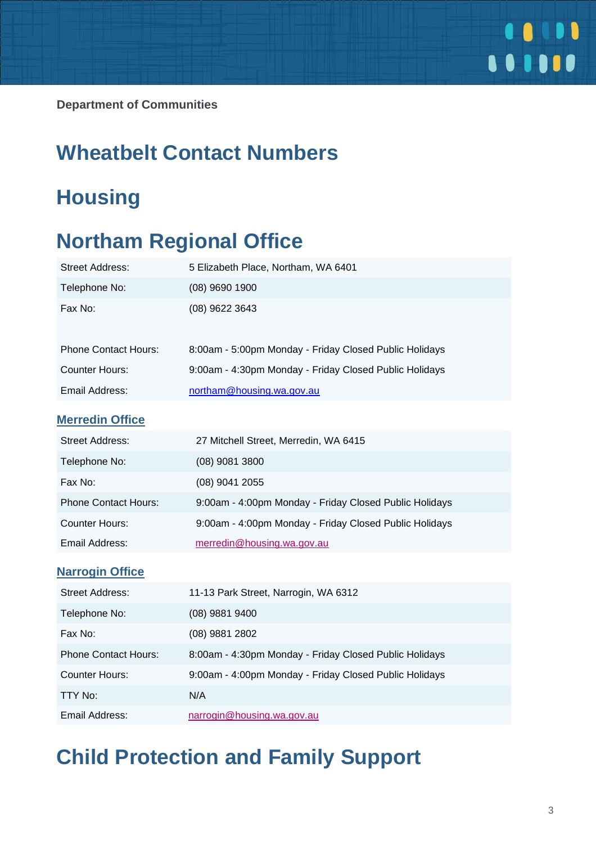

**Department of Communities** 

### **Wheatbelt Contact Numbers**

# **Housing**

## **Northam Regional Office**

| <b>Street Address:</b>      | 5 Elizabeth Place, Northam, WA 6401                    |
|-----------------------------|--------------------------------------------------------|
| Telephone No:               | $(08)$ 9690 1900                                       |
| Fax No:                     | (08) 9622 3643                                         |
| <b>Phone Contact Hours:</b> | 8:00am - 5:00pm Monday - Friday Closed Public Holidays |
| <b>Counter Hours:</b>       | 9:00am - 4:30pm Monday - Friday Closed Public Holidays |
| Email Address:              | northam@housing.wa.gov.au                              |
| <b>Merredin Office</b>      |                                                        |
| <b>Street Address:</b>      | 27 Mitchell Street, Merredin, WA 6415                  |
| Telephone No:               | $(08)$ 9081 3800                                       |
| Fax No:                     | $(08)$ 9041 2055                                       |
| <b>Phone Contact Hours:</b> | 9:00am - 4:00pm Monday - Friday Closed Public Holidays |
| <b>Counter Hours:</b>       | 9:00am - 4:00pm Monday - Friday Closed Public Holidays |
| Email Address:              | merredin@housing.wa.gov.au                             |
| <b>Narrogin Office</b>      |                                                        |
| <b>Street Address:</b>      | 11-13 Park Street, Narrogin, WA 6312                   |
| Telephone No:               | (08) 9881 9400                                         |
| Fax No:                     | (08) 9881 2802                                         |
| <b>Phone Contact Hours:</b> | 8:00am - 4:30pm Monday - Friday Closed Public Holidays |
| <b>Counter Hours:</b>       | 9:00am - 4:00pm Monday - Friday Closed Public Holidays |
| <b>TTY No:</b>              | N/A                                                    |
| Email Address:              | narrogin@housing.wa.gov.au                             |
|                             |                                                        |

# **Child Protection and Family Support**